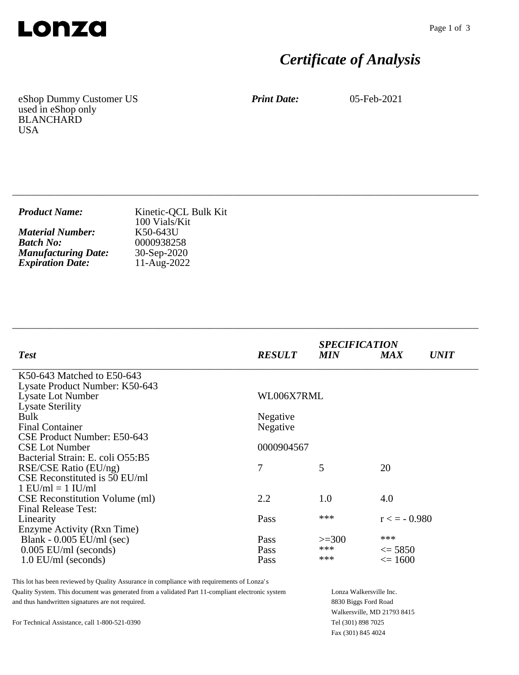

# *Certificate of Analysis*

eShop Dummy Customer US used in eShop only BLANCHARD USA

*Print Date:* 05-Feb-2021

| <b>Product Name:</b>       | Kinetic-QCL Bulk Kit<br>100 Vials/Kit |
|----------------------------|---------------------------------------|
| <b>Material Number:</b>    | K50-643U                              |
| <b>Batch No:</b>           | 0000938258                            |
| <b>Manufacturing Date:</b> | $30-Sep-2020$                         |
| <b>Expiration Date:</b>    | $11-Aug-2022$                         |

\_\_\_\_\_\_\_\_\_\_\_\_\_\_\_\_\_\_\_\_\_\_\_\_\_\_\_\_\_\_\_\_\_\_\_\_\_\_\_\_\_\_\_\_\_\_\_\_\_\_\_\_\_\_\_\_\_\_\_\_\_\_\_\_\_\_\_\_\_\_\_\_\_\_\_\_

| <b>RESULT</b> | <b>MIN</b> | <b>MAX</b>        | <i>UNIT</i>                 |
|---------------|------------|-------------------|-----------------------------|
|               |            |                   |                             |
|               |            |                   |                             |
|               |            |                   |                             |
|               |            |                   |                             |
| Negative      |            |                   |                             |
| Negative      |            |                   |                             |
|               |            |                   |                             |
| 0000904567    |            |                   |                             |
|               |            |                   |                             |
| 7             | 5          | 20                |                             |
|               |            |                   |                             |
|               |            |                   |                             |
| 2.2           | 1.0        | 4.0               |                             |
|               |            |                   |                             |
| Pass          | ***        | $r \leq -0.980$   |                             |
|               |            |                   |                             |
| Pass          | $>=300$    |                   |                             |
| Pass          | ***        | $\leq$ 5850       |                             |
| Pass          | ***        | $\epsilon = 1600$ |                             |
|               |            | WL006X7RML        | <b>SPECIFICATION</b><br>*** |

\_\_\_\_\_\_\_\_\_\_\_\_\_\_\_\_\_\_\_\_\_\_\_\_\_\_\_\_\_\_\_\_\_\_\_\_\_\_\_\_\_\_\_\_\_\_\_\_\_\_\_\_\_\_\_\_\_\_\_\_\_\_\_\_\_\_\_\_\_\_\_\_\_\_\_\_

This lot has been reviewed by Quality Assurance in compliance with requirements of Lonza's Quality System. This document was generated from a validated Part 11-compliant electronic system and thus handwritten signatures are not required.

Lonza Walkersville Inc. 8830 Biggs Ford Road Walkersville, MD 21793 8415 Tel (301) 898 7025 Fax (301) 845 4024

For Technical Assistance, call 1-800-521-0390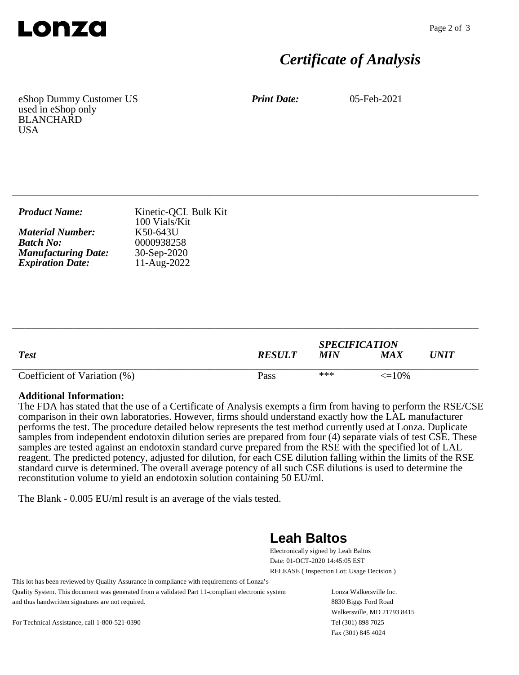

## *Certificate of Analysis*

eShop Dummy Customer US used in eShop only BLANCHARD **USA** 

*Print Date:* 05-Feb-2021

| <b>Product Name:</b>       | Kinetic-QCL Bulk Kit<br>100 Vials/Kit |
|----------------------------|---------------------------------------|
| <b>Material Number:</b>    | K50-643U                              |
| <b>Batch No:</b>           | 0000938258                            |
| <b>Manufacturing Date:</b> | $30-Sep-2020$                         |
| <b>Expiration Date:</b>    | 11-Aug-2022                           |

\_\_\_\_\_\_\_\_\_\_\_\_\_\_\_\_\_\_\_\_\_\_\_\_\_\_\_\_\_\_\_\_\_\_\_\_\_\_\_\_\_\_\_\_\_\_\_\_\_\_\_\_\_\_\_\_\_\_\_\_\_\_\_\_\_\_\_\_\_\_\_\_\_\_\_\_

| <b>Test</b>                  | <b>RESULT</b> | <b>SPECIFICATION</b><br><b>MIN</b> | MA X              | UNIT |
|------------------------------|---------------|------------------------------------|-------------------|------|
| Coefficient of Variation (%) | Pass          | ***                                | $\epsilon = 10\%$ |      |

\_\_\_\_\_\_\_\_\_\_\_\_\_\_\_\_\_\_\_\_\_\_\_\_\_\_\_\_\_\_\_\_\_\_\_\_\_\_\_\_\_\_\_\_\_\_\_\_\_\_\_\_\_\_\_\_\_\_\_\_\_\_\_\_\_\_\_\_\_\_\_\_\_\_\_\_

#### **Additional Information:**

The FDA has stated that the use of a Certificate of Analysis exempts a firm from having to perform the RSE/CSE comparison in their own laboratories. However, firms should understand exactly how the LAL manufacturer performs the test. The procedure detailed below represents the test method currently used at Lonza. Duplicate samples from independent endotoxin dilution series are prepared from four (4) separate vials of test CSE. These samples are tested against an endotoxin standard curve prepared from the RSE with the specified lot of LAL reagent. The predicted potency, adjusted for dilution, for each CSE dilution falling within the limits of the RSE standard curve is determined. The overall average potency of all such CSE dilutions is used to determine the reconstitution volume to yield an endotoxin solution containing 50 EU/ml.

The Blank - 0.005 EU/ml result is an average of the vials tested.

### **Leah Baltos**

Electronically signed by Leah Baltos Date: 01-OCT-2020 14:45:05 EST RELEASE ( Inspection Lot: Usage Decision )

This lot has been reviewed by Quality Assurance in compliance with requirements of Lonza's Quality System. This document was generated from a validated Part 11-compliant electronic system and thus handwritten signatures are not required.

Lonza Walkersville Inc. 8830 Biggs Ford Road Walkersville, MD 21793 8415 Tel (301) 898 7025 Fax (301) 845 4024

For Technical Assistance, call 1-800-521-0390